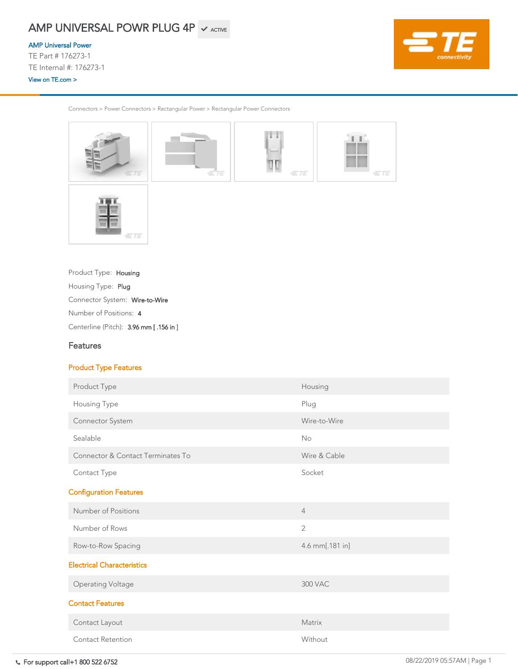Connectors > Power Connectors > Rectangular Power > Rectangular Power Connectors



Centerline (Pitch): 3.96 mm [ .156 in ]

Number of Positions: <sup>4</sup>

Connector System: Wire-to-Wire

Product Type: Housing

Housing Type: Plug

# Features

### Product Type Features

| Product Type                      | Housing         |
|-----------------------------------|-----------------|
| <b>Housing Type</b>               | Plug            |
| <b>Connector System</b>           | Wire-to-Wire    |
| Sealable                          | No              |
| Connector & Contact Terminates To | Wire & Cable    |
| <b>Contact Type</b>               | Socket          |
| <b>Configuration Features</b>     |                 |
| Number of Positions               | $\overline{4}$  |
| Number of Rows                    | $\overline{2}$  |
| Row-to-Row Spacing                | 4.6 mm[.181 in] |
| <b>Electrical Characteristics</b> |                 |
| <b>Operating Voltage</b>          | <b>300 VAC</b>  |
| <b>Contact Features</b>           |                 |
| Contact Layout                    | Matrix          |
| <b>Contact Retention</b>          | Without         |

# AMP UNIVERSAL POWR PLUG 4P  $\checkmark$  active

#### [AMP Universal Power](https://www.te.com/usa-en/plp/X25dG.html)

TE Part # 176273-1 TE Internal #: 176273-1 [View on TE.com >](https://www.te.com/usa-en/product-176273-1.html)

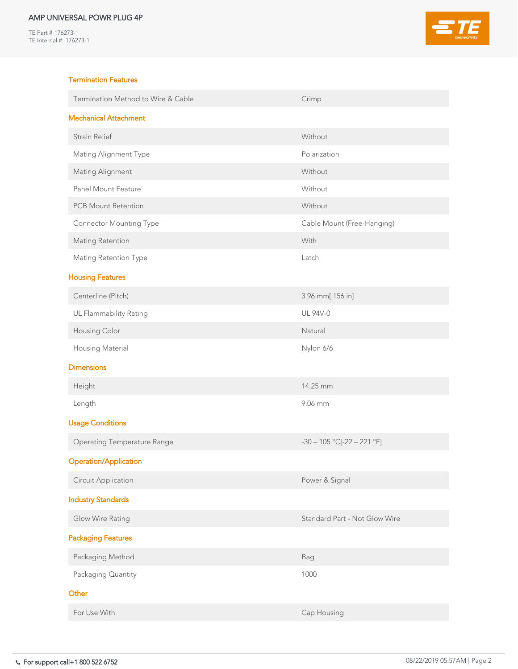TE Part # 176273-1 TE Internal #: 176273-1



### Termination Features

| Termination Method to Wire & Cable | Crimp                      |  |
|------------------------------------|----------------------------|--|
| <b>Mechanical Attachment</b>       |                            |  |
| <b>Strain Relief</b>               | Without                    |  |
| <b>Mating Alignment Type</b>       | Polarization               |  |
| <b>Mating Alignment</b>            | Without                    |  |
| <b>Panel Mount Feature</b>         | Without                    |  |
| <b>PCB Mount Retention</b>         | Without                    |  |
| <b>Connector Mounting Type</b>     | Cable Mount (Free-Hanging) |  |
| <b>Mating Retention</b>            | With                       |  |
| <b>Mating Retention Type</b>       | Latch                      |  |
| <b>Housing Features</b>            |                            |  |
| Centerline (Pitch)                 | 3.96 mm[.156 in]           |  |
| UL Flammability Rating             | <b>UL 94V-0</b>            |  |
| <b>Housing Color</b>               | Natural                    |  |
| <b>Housing Material</b>            | Nylon 6/6                  |  |

#### **Dimensions**

| Height                             | 14.25 mm                             |  |
|------------------------------------|--------------------------------------|--|
| Length                             | 9.06 mm                              |  |
| <b>Usage Conditions</b>            |                                      |  |
| <b>Operating Temperature Range</b> | $-30 - 105$ °C[ $-22 - 221$ °F]      |  |
| <b>Operation/Application</b>       |                                      |  |
| <b>Circuit Application</b>         | Power & Signal                       |  |
| <b>Industry Standards</b>          |                                      |  |
| <b>Glow Wire Rating</b>            | <b>Standard Part - Not Glow Wire</b> |  |
| <b>Packaging Features</b>          |                                      |  |
| Packaging Method                   | Bag                                  |  |
| Packaging Quantity                 | 1000                                 |  |
| Other                              |                                      |  |
| For Use With                       | Cap Housing                          |  |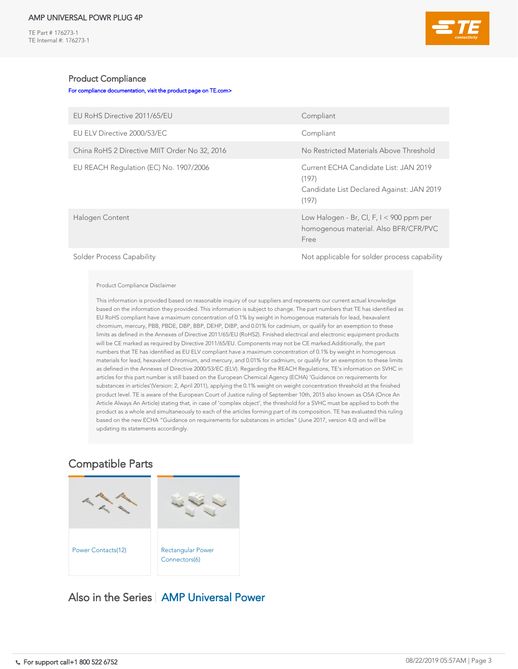TE Part # 176273-1 TE Internal #: 176273-1



### Product Compliance

[For compliance documentation, visit the product page on TE.com>](https://www.te.com/usa-en/product-176273-1.html)

| EU RoHS Directive 2011/65/EU                  | Compliant                                                                                                                                                                                                                                                                                        |  |  |
|-----------------------------------------------|--------------------------------------------------------------------------------------------------------------------------------------------------------------------------------------------------------------------------------------------------------------------------------------------------|--|--|
| EU ELV Directive 2000/53/EC                   | Compliant                                                                                                                                                                                                                                                                                        |  |  |
| China RoHS 2 Directive MIIT Order No 32, 2016 | No Restricted Materials Above Threshold                                                                                                                                                                                                                                                          |  |  |
| EU REACH Regulation (EC) No. 1907/2006        | Current ECHA Candidate List: JAN 2019<br>(197)<br>Candidate List Declared Against: JAN 2019<br>(197)                                                                                                                                                                                             |  |  |
| Halogen Content                               | Low Halogen - Br, Cl, F, $I < 900$ ppm per<br>homogenous material. Also BFR/CFR/PVC<br>Free                                                                                                                                                                                                      |  |  |
|                                               | $\mathbf{A}$ and $\mathbf{B}$ and $\mathbf{A}$ and $\mathbf{B}$ and $\mathbf{A}$ and $\mathbf{B}$ and $\mathbf{B}$ and $\mathbf{A}$ and $\mathbf{B}$ and $\mathbf{A}$ and $\mathbf{B}$ and $\mathbf{B}$ and $\mathbf{B}$ and $\mathbf{B}$ and $\mathbf{B}$ and $\mathbf{B}$ and $\mathbf{B}$ and |  |  |

Solder Process Capability Solder Process Capability

#### Product Compliance Disclaimer

This information is provided based on reasonable inquiry of our suppliers and represents our current actual knowledge based on the information they provided. This information is subject to change. The part numbers that TE has identified as EU RoHS compliant have a maximum concentration of 0.1% by weight in homogenous materials for lead, hexavalent chromium, mercury, PBB, PBDE, DBP, BBP, DEHP, DIBP, and 0.01% for cadmium, or qualify for an exemption to these limits as defined in the Annexes of Directive 2011/65/EU (RoHS2). Finished electrical and electronic equipment products will be CE marked as required by Directive 2011/65/EU. Components may not be CE marked.Additionally, the part numbers that TE has identified as EU ELV compliant have a maximum concentration of 0.1% by weight in homogenous materials for lead, hexavalent chromium, and mercury, and 0.01% for cadmium, or qualify for an exemption to these limits as defined in the Annexes of Directive 2000/53/EC (ELV). Regarding the REACH Regulations, TE's information on SVHC in articles for this part number is still based on the European Chemical Agency (ECHA) 'Guidance on requirements for substances in articles'(Version: 2, April 2011), applying the 0.1% weight on weight concentration threshold at the finished product level. TE is aware of the European Court of Justice ruling of September 10th, 2015 also known as O5A (Once An Article Always An Article) stating that, in case of 'complex object', the threshold for a SVHC must be applied to both the product as a whole and simultaneously to each of the articles forming part of its composition. TE has evaluated this ruling based on the new ECHA "Guidance on requirements for substances in articles" (June 2017, version 4.0) and will be updating its statements accordingly.



Also in the Series | [AMP Universal Power](https://www.te.com/usa-en/plp/X25dG.html)

# Compatible Parts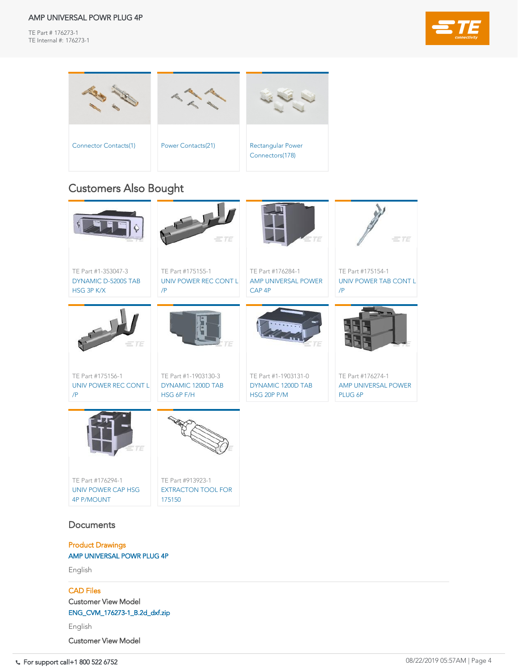TE Part # 176273-1 TE Internal #: 176273-1



| UNIV POWER REC CONT L<br>$/$ P          | DYNAMIC 1200D TAB<br>HSG 6P F/H     | DYNAMIC 1200D TAB<br>HSG 20P P/M | AMP UNIVERSAL POWER<br>PLUG 6P |
|-----------------------------------------|-------------------------------------|----------------------------------|--------------------------------|
|                                         |                                     |                                  |                                |
|                                         |                                     |                                  |                                |
| $=75$                                   |                                     |                                  |                                |
|                                         |                                     |                                  |                                |
| TE Part #176294-1                       | TE Part #913923-1                   |                                  |                                |
| UNIV POWER CAP HSG<br><b>4P P/MOUNT</b> | <b>EXTRACTON TOOL FOR</b><br>175150 |                                  |                                |

# **Documents**



For support call+1 800 522 6752 08/22/2019 05:57AM | Page 4 ENG\_CVM\_176273-1\_B.3d\_igs.zip



# Customers Also Bought

Product Drawings [AMP UNIVERSAL POWR PLUG 4P](https://www.te.com/commerce/DocumentDelivery/DDEController?Action=showdoc&DocId=Customer+Drawing%7F176273%7FB%7Fpdf%7FEnglish%7FENG_CD_176273_B.pdf%7F176273-1)

English

#### CAD Files

Customer View Model

[ENG\\_CVM\\_176273-1\\_B.2d\\_dxf.zip](https://www.te.com/commerce/DocumentDelivery/DDEController?Action=showdoc&DocId=Customer+View+Model%7F176273-1%7FB%7F2d_dxf.zip%7FEnglish%7FENG_CVM_176273-1_B.2d_dxf.zip%7F176273-1)

English

[Customer View Model](https://www.te.com/commerce/DocumentDelivery/DDEController?Action=showdoc&DocId=Customer+View+Model%7F176273-1%7FB%7F3d_igs.zip%7FEnglish%7FENG_CVM_176273-1_B.3d_igs.zip%7F176273-1)